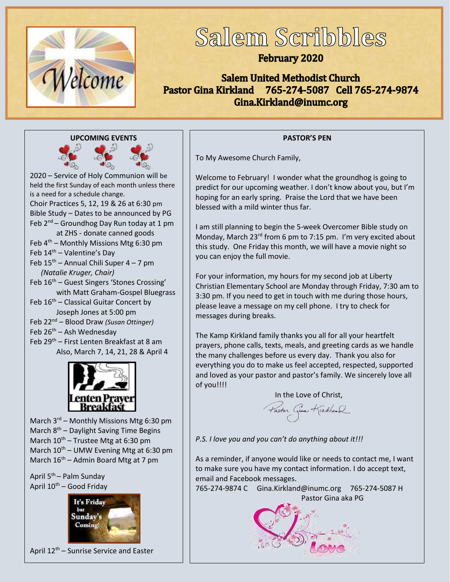

# Salem Scribbles

### **February 2020**

**Salem United Methodist Church** Pastor Gina Kirkland 765-274-5087 Cell 765-274-9874 Gina.Kirkland@inumc.org





2020 – Service of Holy Communion will be held the first Sunday of each month unless there is a need for a schedule change. Choir Practices 5, 12, 19 & 26 at 6:30 pm Bible Study – Dates to be announced by PG Feb  $2^{nd}$  – Groundhog Day Run today at 1 pm at ZHS - donate canned goods Feb 4<sup>th</sup> – Monthly Missions Mtg 6:30 pm Feb  $14<sup>th</sup>$  – Valentine's Day Feb 15<sup>th</sup> – Annual Chili Super 4 – 7 pm *(Natalie Kruger, Chair)* Feb 16<sup>th</sup> – Guest Singers 'Stones Crossing' with Matt Graham-Gospel Bluegrass Feb  $16<sup>th</sup>$  – Classical Guitar Concert by Joseph Jones at 5:00 pm Feb 22nd – Blood Draw *(Susan Ottinger)* Feb 26<sup>th</sup> – Ash Wednesday Feb 29<sup>th</sup> – First Lenten Breakfast at 8 am Also, March 7, 14, 21, 28 & April 4



March 3<sup>rd</sup> – Monthly Missions Mtg 6:30 pm March 8<sup>th</sup> - Daylight Saving Time Begins March  $10^{th}$  – Trustee Mtg at 6:30 pm March  $10^{th}$  – UMW Evening Mtg at 6:30 pm March  $16<sup>th</sup>$  – Admin Board Mtg at 7 pm

April 5th – Palm Sunday April  $10^{th}$  – Good Friday



April 12<sup>th</sup> – Sunrise Service and Easter

#### **PASTOR'S PEN**

To My Awesome Church Family,

Welcome to February! I wonder what the groundhog is going to predict for our upcoming weather. I don't know about you, but I'm hoping for an early spring. Praise the Lord that we have been blessed with a mild winter thus far.

I am still planning to begin the 5-week Overcomer Bible study on Monday, March 23<sup>rd</sup> from 6 pm to 7:15 pm. I'm very excited about this study. One Friday this month, we will have a movie night so you can enjoy the full movie.

For your information, my hours for my second job at Liberty Christian Elementary School are Monday through Friday, 7:30 am to 3:30 pm. If you need to get in touch with me during those hours, please leave a message on my cell phone. I try to check for messages during breaks.

The Kamp Kirkland family thanks you all for all your heartfelt prayers, phone calls, texts, meals, and greeting cards as we handle the many challenges before us every day. Thank you also for everything you do to make us feel accepted, respected, supported and loved as your pastor and pastor's family. We sincerely love all of you!!!!

In the Love of Christ,

Faston Give Kirkland

*P.S. I love you and you can't do anything about it!!!*

As a reminder, if anyone would like or needs to contact me, I want to make sure you have my contact information. I do accept text, email and Facebook messages.

765-274-9874 C Gina.Kirkland@inumc.org 765-274-5087 H [Pastor Gina aka PG](https://www.faithclipart.com/fca/affiliate.do?id=58&coupon=christmas)

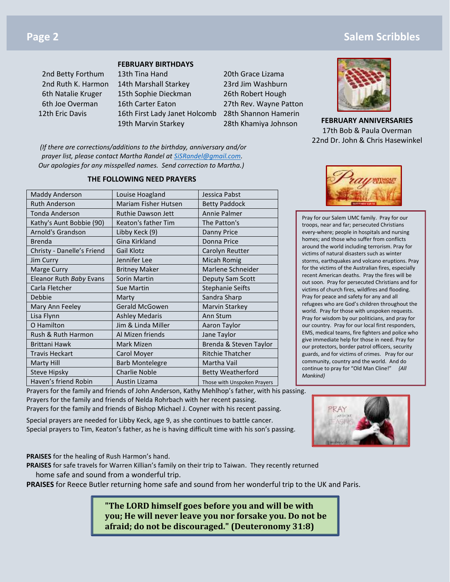#### **FEBRUARY BIRTHDAYS**

 2nd Betty Forthum 13th Tina Hand 20th Grace Lizama 2nd Ruth K. Harmon 14th Marshall Starkey 23rd Jim Washburn 6th Natalie Kruger 15th Sophie Dieckman 26th Robert Hough 6th Joe Overman 16th Carter Eaton 27th Rev. Wayne Patton 12th Eric Davis 16th First Lady Janet Holcomb 28th Shannon Hamerin

19th Marvin Starkey 28th Khamiya Johnson

**FEBRUARY ANNIVERSARIES** 17th Bob & Paula Overman 22nd Dr. John & Chris Hasewinkel

*(If there are corrections/additions to the birthday, anniversary and/or prayer list, please contact Martha Randel at [SiSRandel@gmail.com.](mailto:SiSRandel@gmail.com) Our apologies for any misspelled names. Send correction to Martha.)*

#### **THE FOLLOWING NEED PRAYERS**

| Maddy Anderson             | Louise Hoagland             | Jessica Pabst               |  |
|----------------------------|-----------------------------|-----------------------------|--|
| <b>Ruth Anderson</b>       | <b>Mariam Fisher Hutsen</b> | <b>Betty Paddock</b>        |  |
| Tonda Anderson             | <b>Ruthie Dawson Jett</b>   | Annie Palmer                |  |
| Kathy's Aunt Bobbie (90)   | Keaton's father Tim         | The Patton's                |  |
| Arnold's Grandson          | Libby Keck (9)              | <b>Danny Price</b>          |  |
| <b>Brenda</b>              | Gina Kirkland               | Donna Price                 |  |
| Christy - Danelle's Friend | Gail Klotz                  | Carolyn Reutter             |  |
| Jim Curry                  | Jennifer Lee                | <b>Micah Romig</b>          |  |
| Marge Curry                | <b>Britney Maker</b>        | Marlene Schneider           |  |
| Eleanor Ruth Baby Evans    | Sorin Martin                | Deputy Sam Scott            |  |
| Carla Fletcher             | <b>Sue Martin</b>           | <b>Stephanie Seifts</b>     |  |
| Debbie                     | Marty                       | Sandra Sharp                |  |
| Mary Ann Feeley            | <b>Gerald McGowen</b>       | Marvin Starkey              |  |
| Lisa Flynn                 | <b>Ashley Medaris</b>       | Ann Stum                    |  |
| O Hamilton                 | Jim & Linda Miller          | Aaron Taylor                |  |
| Rush & Ruth Harmon         | Al Mizen friends            | Jane Taylor                 |  |
| <b>Brittani Hawk</b>       | Mark Mizen                  | Brenda & Steven Taylor      |  |
| <b>Travis Heckart</b>      | Carol Moyer                 | <b>Ritchie Thatcher</b>     |  |
| Marty Hill                 | <b>Barb Montelegre</b>      | Martha Vail                 |  |
| <b>Steve Hipsky</b>        | <b>Charlie Noble</b>        | <b>Betty Weatherford</b>    |  |
| Haven's friend Robin       | Austin Lizama               | Those with Unspoken Prayers |  |



Pray for our Salem UMC family. Pray for our troops, near and far; persecuted Christians every-where; people in hospitals and nursing homes; and those who suffer from conflicts around the world including terrorism. Pray for victims of natural disasters such as winter storms, earthquakes and volcano eruptions. Pray for the victims of the Australian fires, especially recent American deaths. Pray the fires will be out soon. Pray for persecuted Christians and for victims of church fires, wildfires and flooding. Pray for peace and safety for any and all refugees who are God's children throughout the world. Pray for those with unspoken requests. Pray for wisdom by our politicians, and pray for our country. Pray for our local first responders, EMS, medical teams, fire fighters and police who give immediate help for those in need. Pray for our protectors, border patrol officers, security guards, and for victims of crimes. Pray for our community, country and the world. And do continue to pray for "Old Man Cline!" *{All Mankind}*

Prayers for the family and friends of John Anderson, Kathy Mehlhop's father, with his passing. Prayers for the family and friends of Nelda Rohrbach with her recent passing. Prayers for the family and friends of Bishop Michael J. Coyner with his recent passing.

Special prayers are needed for Libby Keck, age 9, as she continues to battle cancer. Special prayers to Tim, Keaton's father, as he is having difficult time with his son's passing.

**PRAISES** for the healing of Rush Harmon's hand.

**PRAISES** for safe travels for Warren Killian's family on their trip to Taiwan. They recently returned home safe and sound from a wonderful trip.

**PRAISES** for Reece Butler returning home safe and sound from her wonderful trip to the UK and Paris.

**"The LORD himself goes before you and will be with you; He will never leave you nor forsake you. Do not be afraid; do not be discouraged." (Deuteronomy 31:8)**



### **Page 2 Salem Scribbles Contract Contract Contract Contract Contract Contract Contract Contract Contract Contract Contract Contract Contract Contract Contract Contract Contract Contract Contract Contract Contract Contr**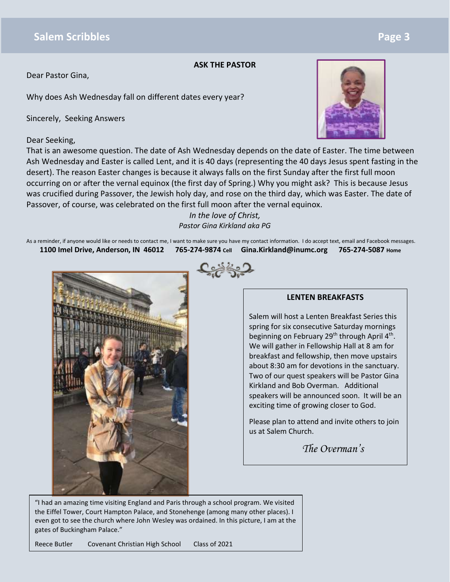### **Salem Scribbles Page 3**

#### **ASK THE PASTOR**

Dear Pastor Gina,

Why does Ash Wednesday fall on different dates every year?

Sincerely, Seeking Answers

#### Dear Seeking,



That is an awesome question. The date of Ash Wednesday depends on the date of Easter. The time between Ash Wednesday and Easter is called Lent, and it is 40 days (representing the 40 days Jesus spent fasting in the desert). The reason Easter changes is because it always falls on the first Sunday after the first full moon occurring on or after the vernal equinox (the first day of Spring.) Why you might ask? This is because Jesus was crucified during Passover, the Jewish holy day, and rose on the third day, which was Easter. The date of Passover, of course, was celebrated on the first full moon after the vernal equinox.

> *In the love of Christ, Pastor Gina Kirkland aka PG*

As a reminder, if anyone would like or needs to contact me, I want to make sure you have my contact information. I do accept text, email and Facebook messages. **1100 Imel Drive, Anderson, IN 46012 765-[274-9874](https://www.faithclipart.com/fca/affiliate.do?id=58&coupon=christmas) Cell Gina.Kirkland@inumc.org 765-274-5087 Home**



<u>د پخت</u>

#### **LENTEN BREAKFASTS**

Salem will host a Lenten Breakfast Series this spring for six consecutive Saturday mornings beginning on February 29<sup>th</sup> through April 4<sup>th</sup>. We will gather in Fellowship Hall at 8 am for breakfast and fellowship, then move upstairs about 8:30 am for devotions in the sanctuary. Two of our quest speakers will be Pastor Gina Kirkland and Bob Overman. Additional speakers will be announced soon. It will be an exciting time of growing closer to God.

Please plan to attend and invite others to join us at Salem Church.

*The Overman's*

"I had an amazing time visiting England and Paris through a school program. We visited the Eiffel Tower, Court Hampton Palace, and Stonehenge (among many other places). I even got to see the church where John Wesley was ordained. In this picture, I am at the gates of Buckingham Palace."

Reece Butler Covenant Christian High School Class of 2021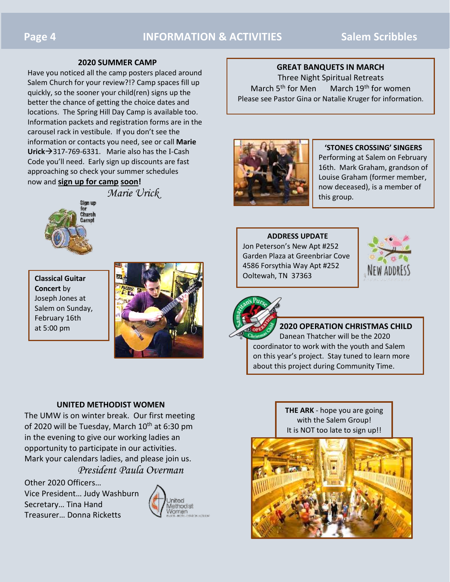#### **2020 SUMMER CAMP**

Have you noticed all the camp posters placed around Salem Church for your review?!? Camp spaces fill up quickly, so the sooner your child(ren) signs up the better the chance of getting the choice dates and locations. The Spring Hill Day Camp is available too. Information packets and registration forms are in the carousel rack in vestibule. If you don't see the information or contacts you need, see or call **Marie Urick**→317-769-6331. Marie also has the I-Cash Code you'll need. Early sign up discounts are fast approaching so check your summer schedules now and **sign up for camp soon!**

*Marie Urick*

## Sign up Church ımıd

**Classical Guitar Concert** by Joseph Jones at Salem on Sunday, February 16th at 5:00 pm



#### **UNITED METHODIST WOMEN**

The UMW is on winter break. Our first meeting of 2020 will be Tuesday, March 10<sup>th</sup> at 6:30 pm in the evening to give our working ladies an opportunity to participate in our activities. Mark your calendars ladies, and please join us. *President Paula Overman*

Other 2020 Officers… Vice President… Judy Washburn Secretary… Tina Hand Treasurer… Donna Ricketts



#### **GREAT BANQUETS IN MARCH**

Three Night Spiritual Retreats March  $5<sup>th</sup>$  for Men March  $19<sup>th</sup>$  for women Please see Pastor Gina or Natalie Kruger for information.



#### **'STONES CROSSING' SINGERS**

Performing at Salem on February 16th. Mark Graham, grandson of Louise Graham (former member, now deceased), is a member of this group.

#### **ADDRESS UPDATE**

Jon Peterson's New Apt #252 Garden Plaza at Greenbriar Cove 4586 Forsythia Way Apt #252 Ooltewah, TN 37363





#### **[2](https://www.faithclipart.com/fca/affiliate.do?id=58&coupon=christmas)020 OPERATION CHRISTMAS CHILD**

Danean Thatcher will be the 2020 coordinator to work with the youth and Salem on this year's project. Stay tuned to learn more about this project during Community Time.

> **THE ARK** - hope you are going with the Salem Group! It is NOT too late to sign up!!

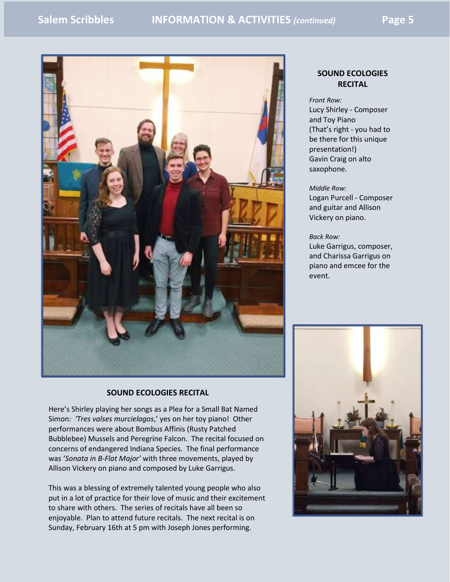

#### **SOUND ECOLOGIES RECITAL**

Here's Shirley playing her songs as a Plea for a Small Bat Named Simon*: 'Tres valses murcielagos*,' yes on her toy piano! Other performances were about Bombus Affinis (Rusty Patched Bubblebee) Mussels and Peregrine Falcon. The recital focused on concerns of endangered Indiana Species. The final performance was '*Sonata in B-Flat Major'* with three movements, played by Allison Vickery on piano and composed by Luke Garrigus.

This was a blessing of extremely talented young people who also put in a lot of practice for their love of music and their excitement to share with others. The series of recitals have all been so enjoyable. Plan to attend future recitals. The next recital is on Sunday, February 16th at 5 pm with Joseph Jones performing.

#### **SOUND ECOLOGIES RECITAL**

*Front Row:* Lucy Shirley - Composer and Toy Piano (That's right - you had to be there for this unique presentation!) Gavin Craig on alto saxophone.

#### *Middle Row:*

Logan Purcell - Composer and guitar and Allison Vickery on piano.

#### *Back Row:*

Luke Garrigus, composer, and Charissa Garrigus on piano and emcee for the event.

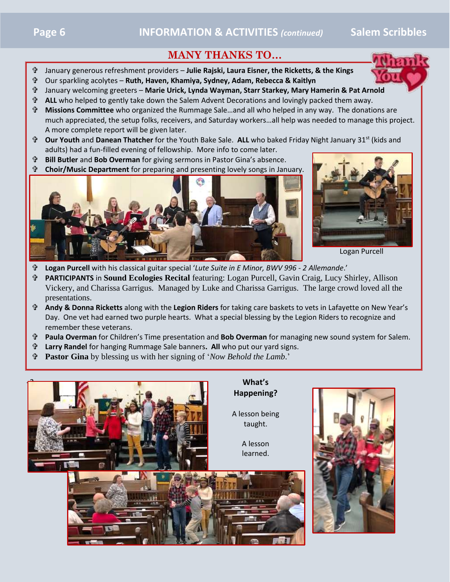### **MANY THANKS TO…**

- January generous refreshment providers **Julie Rajski, Laura Eisner, the Ricketts, & the Kings**
- Our sparkling acolytes **Ruth, Haven, Khamiya, Sydney, Adam, Rebecca & Kaitlyn**
- January welcoming greeters **Marie Urick, Lynda Wayman, Starr Starkey, Mary Hamerin & Pat Ar[nold](https://www.faithclipart.com/fca/affiliate.do?id=58&coupon=christmas)**
- **ALL** who helped to gently take down the Salem Advent Decorations and lovingly packed them away.
- **Missions Committee** who organized the Rummage Sale…and all who helped in any way. The donations are much appreciated, the setup folks, receivers, and Saturday workers…all help was needed to manage this project. A more complete report will be given later.
- <sup>•</sup> Our Youth and Danean Thatcher for the Youth Bake Sale. ALL who baked Friday Night January 31<sup>st</sup> (kids and adults) had a fun-filled evening of fellowship. More info to come later.
- **Bill Butler** and **Bob Overman** for giving sermons in Pastor Gina's absence.
- **Choir/Music Department** for preparing and presenting lovely songs in January.





Logan Purcell

- **Logan Purcell** with his classical guitar special '*Lute Suite in E Minor, BWV 996 - 2 Allemande*.'
- **PARTICIPANTS** in **Sound Ecologies Recital** featuring: Logan Purcell, Gavin Craig, Lucy Shirley, Allison Vickery, and Charissa Garrigus. Managed by Luke and Charissa Garrigus. The large crowd loved all the presentations.
- **Andy & Donna Ricketts** along with the **Legion Riders** for taking care baskets to vets in Lafayette on New Year's Day. One vet had earned two purple hearts. What a special blessing by the Legion Riders to recognize and remember these veterans.
- **Paula Overman** for Children's Time presentation and **Bob Overman** for managing new sound system for Salem.
- **Larry Randel** for hanging Rummage Sale banners**. All** who put our yard signs.
- **Pastor Gina** by blessing us with her signing of '*Now Behold the Lamb*.'

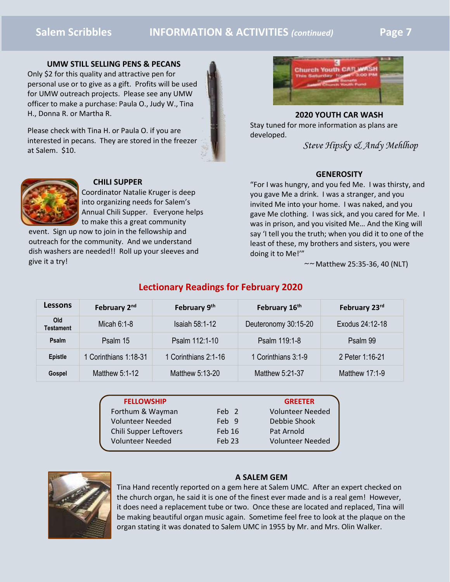#### **Salem Scribbles INFORMATION & ACTIVITIES** *(continued)* **Page 7**

#### **UMW STILL SELLING PENS & PECANS**

Only \$2 for this quality and attractive pen for personal use or to give as a gift. Profits will be used for UMW outreach projects. Please see any UMW officer to make a purchase: Paula O., Judy W., Tina H., Donna R. or Martha R.

Please check with Tina H. or Paula O. if you are interested in pecans. They are stored in the freezer at Salem. \$10.



**2020 YOUTH CAR WASH** Stay tuned for more information as plans are developed.

*Steve Hipsky & Andy Mehlhop* 

#### **CHILI SUPPER**

Coordinator Natalie Kruger is deep into organizing needs for Salem's Annual Chili Supper. Everyone helps to make this a great community

event. Sign up now to join in the fellowship and outreach for the community. And we understand dish washers are needed!! Roll up your sleeves and give it a try!



"For I was hungry, and you fed Me. I was thirsty, and you gave Me a drink. I was a stranger, and you invited Me into your home. I was naked, and you gave Me clothing. I was sick, and you cared for Me. I was in prison, and you visited Me… And the King will say 'I tell you the truth; when you did it to one of the least of these, my brothers and sisters, you were doing it to Me!'"

*~~* Matthew 25:35-36, 40 (NLT)

| Lessons          | February 2 <sup>nd</sup> | February 9th          | February 16th        | February 23rd   |
|------------------|--------------------------|-----------------------|----------------------|-----------------|
| Old<br>Testament | Micah $6:1-8$            | <b>Isaiah 58:1-12</b> | Deuteronomy 30:15-20 | Exodus 24:12-18 |
| Psalm            | Psalm 15                 | Psalm 112:1-10        | Psalm 119:1-8        | Psalm 99        |
| <b>Epistle</b>   | 1 Corinthians 1:18-31    | 1 Corinthians 2:1-16  | 1 Corinthians 3:1-9  | 2 Peter 1:16-21 |
| Gospel           | Matthew 5:1-12           | Matthew 5:13-20       | Matthew $5:21-37$    | Matthew 17:1-9  |

#### **Lectionary Readings for February 2020**

| <b>FELLOWSHIP</b>       |                  | <b>GREETER</b>          |
|-------------------------|------------------|-------------------------|
| Forthum & Wayman        | Feb <sub>2</sub> | <b>Volunteer Needed</b> |
| <b>Volunteer Needed</b> | Feb 9            | Debbie Shook            |
| Chili Supper Leftovers  | Feb 16           | Pat Arnold              |
| <b>Volunteer Needed</b> | Feb 23           | <b>Volunteer Needed</b> |
|                         |                  |                         |



#### **A SALEM GEM**

Tina Hand recently reported on a gem here at Salem UMC. After an expert checked on the church organ, he said it is one of the finest ever made and is a real gem! However, it does need a replacement tube or two. Once these are located and replaced, Tina will be making beautiful organ music again. Sometime feel free to look at the plaque on the organ stating it was donated to Salem UMC in 1955 by Mr. and Mrs. Olin Walker.